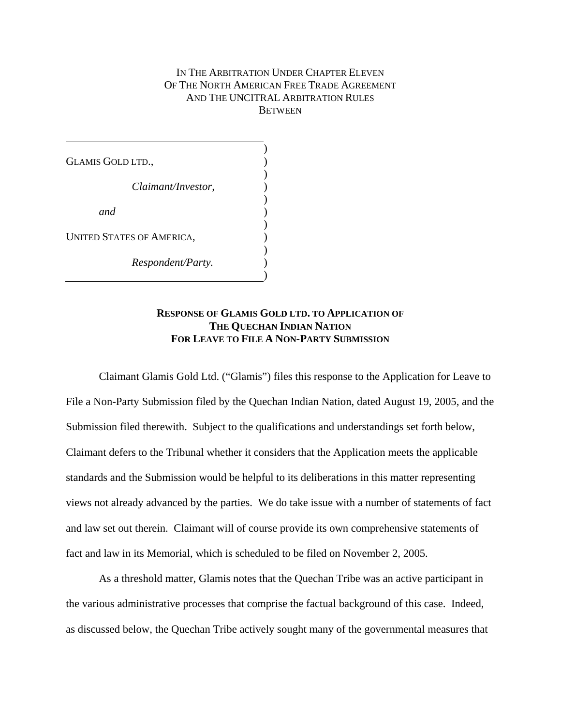## IN THE ARBITRATION UNDER CHAPTER ELEVEN OF THE NORTH AMERICAN FREE TRADE AGREEMENT AND THE UNCITRAL ARBITRATION RULES **BETWEEN**

GLAMIS GOLD LTD., *Claimant/Investor, and*  UNITED STATES OF AMERICA,  *Respondent/Party.*   $\mathcal{L}$ ) ) )  $\mathcal{L}$  $\mathcal{L}$ ) ) )  $\mathcal{L}$  $\mathcal{L}$ 

## **RESPONSE OF GLAMIS GOLD LTD. TO APPLICATION OF THE QUECHAN INDIAN NATION FOR LEAVE TO FILE A NON-PARTY SUBMISSION**

Claimant Glamis Gold Ltd. ("Glamis") files this response to the Application for Leave to File a Non-Party Submission filed by the Quechan Indian Nation, dated August 19, 2005, and the Submission filed therewith. Subject to the qualifications and understandings set forth below, Claimant defers to the Tribunal whether it considers that the Application meets the applicable standards and the Submission would be helpful to its deliberations in this matter representing views not already advanced by the parties. We do take issue with a number of statements of fact and law set out therein. Claimant will of course provide its own comprehensive statements of fact and law in its Memorial, which is scheduled to be filed on November 2, 2005.

As a threshold matter, Glamis notes that the Quechan Tribe was an active participant in the various administrative processes that comprise the factual background of this case. Indeed, as discussed below, the Quechan Tribe actively sought many of the governmental measures that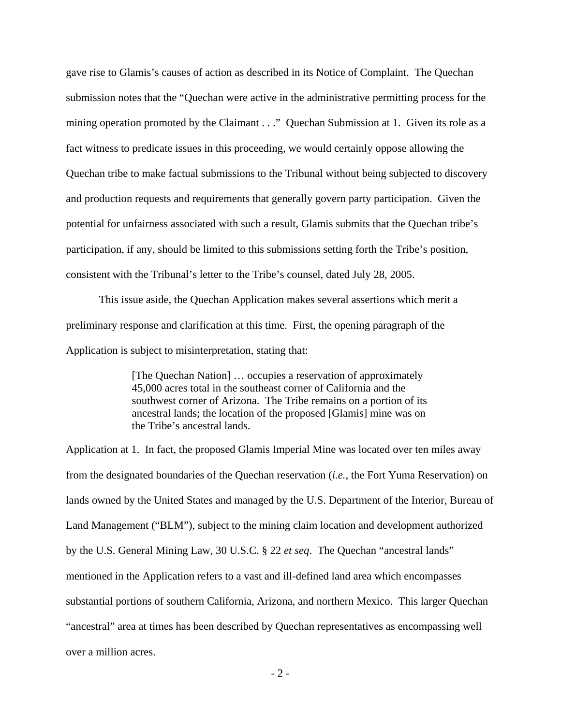gave rise to Glamis's causes of action as described in its Notice of Complaint. The Quechan submission notes that the "Quechan were active in the administrative permitting process for the mining operation promoted by the Claimant . . ." Quechan Submission at 1. Given its role as a fact witness to predicate issues in this proceeding, we would certainly oppose allowing the Quechan tribe to make factual submissions to the Tribunal without being subjected to discovery and production requests and requirements that generally govern party participation. Given the potential for unfairness associated with such a result, Glamis submits that the Quechan tribe's participation, if any, should be limited to this submissions setting forth the Tribe's position, consistent with the Tribunal's letter to the Tribe's counsel, dated July 28, 2005.

This issue aside, the Quechan Application makes several assertions which merit a preliminary response and clarification at this time. First, the opening paragraph of the Application is subject to misinterpretation, stating that:

> [The Quechan Nation] … occupies a reservation of approximately 45,000 acres total in the southeast corner of California and the southwest corner of Arizona. The Tribe remains on a portion of its ancestral lands; the location of the proposed [Glamis] mine was on the Tribe's ancestral lands.

Application at 1. In fact, the proposed Glamis Imperial Mine was located over ten miles away from the designated boundaries of the Quechan reservation (*i.e.,* the Fort Yuma Reservation) on lands owned by the United States and managed by the U.S. Department of the Interior, Bureau of Land Management ("BLM"), subject to the mining claim location and development authorized by the U.S. General Mining Law, 30 U.S.C. § 22 *et seq*. The Quechan "ancestral lands" mentioned in the Application refers to a vast and ill-defined land area which encompasses substantial portions of southern California, Arizona, and northern Mexico. This larger Quechan "ancestral" area at times has been described by Quechan representatives as encompassing well over a million acres.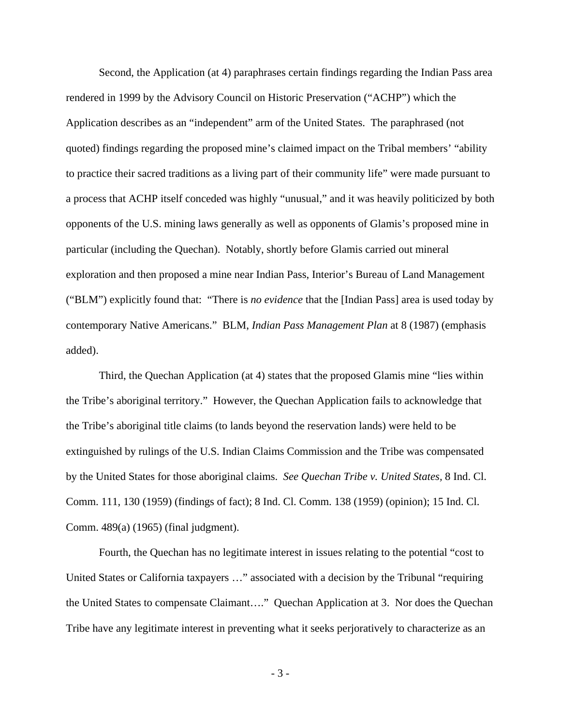Second, the Application (at 4) paraphrases certain findings regarding the Indian Pass area rendered in 1999 by the Advisory Council on Historic Preservation ("ACHP") which the Application describes as an "independent" arm of the United States. The paraphrased (not quoted) findings regarding the proposed mine's claimed impact on the Tribal members' "ability to practice their sacred traditions as a living part of their community life" were made pursuant to a process that ACHP itself conceded was highly "unusual," and it was heavily politicized by both opponents of the U.S. mining laws generally as well as opponents of Glamis's proposed mine in particular (including the Quechan). Notably, shortly before Glamis carried out mineral exploration and then proposed a mine near Indian Pass, Interior's Bureau of Land Management ("BLM") explicitly found that: "There is *no evidence* that the [Indian Pass] area is used today by contemporary Native Americans." BLM, *Indian Pass Management Plan* at 8 (1987) (emphasis added).

Third, the Quechan Application (at 4) states that the proposed Glamis mine "lies within the Tribe's aboriginal territory." However, the Quechan Application fails to acknowledge that the Tribe's aboriginal title claims (to lands beyond the reservation lands) were held to be extinguished by rulings of the U.S. Indian Claims Commission and the Tribe was compensated by the United States for those aboriginal claims. *See Quechan Tribe v. United States,* 8 Ind. Cl. Comm. 111, 130 (1959) (findings of fact); 8 Ind. Cl. Comm. 138 (1959) (opinion); 15 Ind. Cl. Comm. 489(a) (1965) (final judgment).

Fourth, the Quechan has no legitimate interest in issues relating to the potential "cost to United States or California taxpayers …" associated with a decision by the Tribunal "requiring the United States to compensate Claimant…." Quechan Application at 3. Nor does the Quechan Tribe have any legitimate interest in preventing what it seeks perjoratively to characterize as an

- 3 -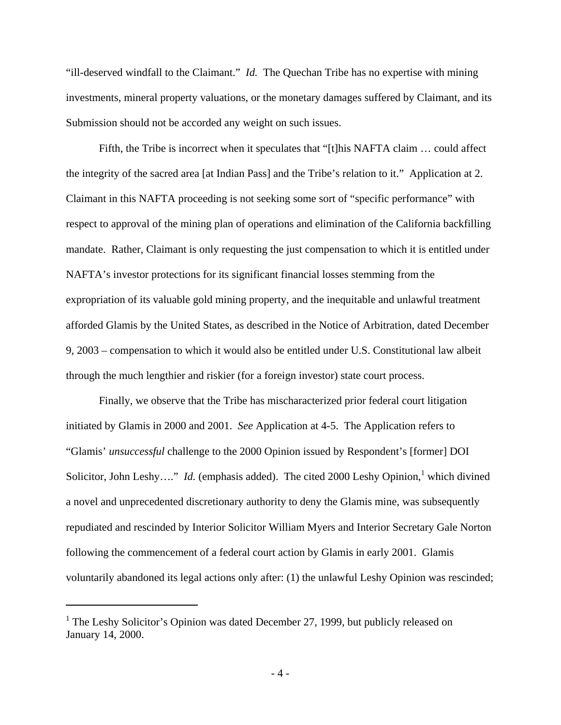"ill-deserved windfall to the Claimant." *Id.* The Quechan Tribe has no expertise with mining investments, mineral property valuations, or the monetary damages suffered by Claimant, and its Submission should not be accorded any weight on such issues.

Fifth, the Tribe is incorrect when it speculates that "[t]his NAFTA claim … could affect the integrity of the sacred area [at Indian Pass] and the Tribe's relation to it." Application at 2. Claimant in this NAFTA proceeding is not seeking some sort of "specific performance" with respect to approval of the mining plan of operations and elimination of the California backfilling mandate. Rather, Claimant is only requesting the just compensation to which it is entitled under NAFTA's investor protections for its significant financial losses stemming from the expropriation of its valuable gold mining property, and the inequitable and unlawful treatment afforded Glamis by the United States, as described in the Notice of Arbitration, dated December 9, 2003 – compensation to which it would also be entitled under U.S. Constitutional law albeit through the much lengthier and riskier (for a foreign investor) state court process.

Finally, we observe that the Tribe has mischaracterized prior federal court litigation initiated by Glamis in 2000 and 2001. *See* Application at 4-5. The Application refers to "Glamis' *unsuccessful* challenge to the 2000 Opinion issued by Respondent's [former] DOI Solicitor, John Leshy...." *Id.* (emphasis added). The cited 2000 Leshy Opinion,<sup>[1](#page-3-0)</sup> which divined a novel and unprecedented discretionary authority to deny the Glamis mine, was subsequently repudiated and rescinded by Interior Solicitor William Myers and Interior Secretary Gale Norton following the commencement of a federal court action by Glamis in early 2001. Glamis voluntarily abandoned its legal actions only after: (1) the unlawful Leshy Opinion was rescinded;

 $\overline{a}$ 

<span id="page-3-0"></span><sup>&</sup>lt;sup>1</sup> The Leshy Solicitor's Opinion was dated December 27, 1999, but publicly released on January 14, 2000.